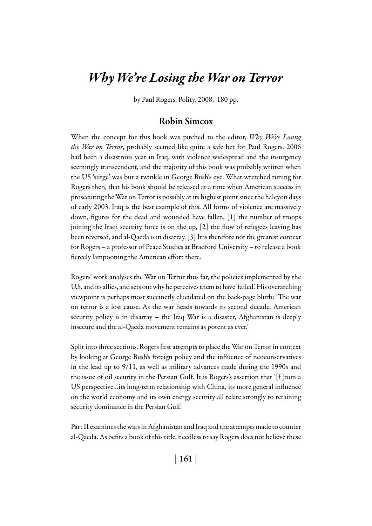# *Why We're Losing the War on Terror*

by Paul Rogers, Polity, 2008, 180 pp.

## Robin Simcox

When the concept for this book was pitched to the editor, *Why We're Losing the War on Terror*, probably seemed like quite a safe bet for Paul Rogers. 2006 had been a disastrous year in Iraq, with violence widespread and the insurgency seemingly transcendent, and the majority of this book was probably written when the US 'surge' was but a twinkle in George Bush's eye. What wretched timing for Rogers then, that his book should be released at a time when American success in prosecuting the War on Terror is possibly at its highest point since the halcyon days of early 2003. Iraq is the best example of this. All forms of violence are massively down, figures for the dead and wounded have fallen, [1] the number of troops joining the Iraqi security force is on the up, [2] the flow of refugees leaving has been reversed, and al-Qaeda is in disarray. [3] It is therefore not the greatest context for Rogers – a professor of Peace Studies at Bradford University – to release a book fiercely lampooning the American effort there.

Rogers' work analyses the War on Terror thus far, the policies implemented by the U.S. and its allies, and sets out why he perceives them to have 'failed'. His overarching viewpoint is perhaps most succinctly elucidated on the back-page blurb: 'The war on terror is a lost cause. As the war heads towards its second decade, American security policy is in disarray – the Iraq War is a disaster, Afghanistan is deeply insecure and the al-Qaeda movement remains as potent as ever.'

Split into three sections, Rogers first attempts to place the War on Terror in context by looking at George Bush's foreign policy and the influence of neoconservatives in the lead up to 9/11, as well as military advances made during the 1990s and the issue of oil security in the Persian Gulf. It is Rogers's assertion that '[f ]rom a US perspective…its long-term relationship with China, its more general influence on the world economy and its own energy security all relate strongly to retaining security dominance in the Persian Gulf.'

Part II examines the wars in Afghanistan and Iraq and the attempts made to counter al-Qaeda. As befits a book of this title, needless to say Rogers does not believe these

| 161 |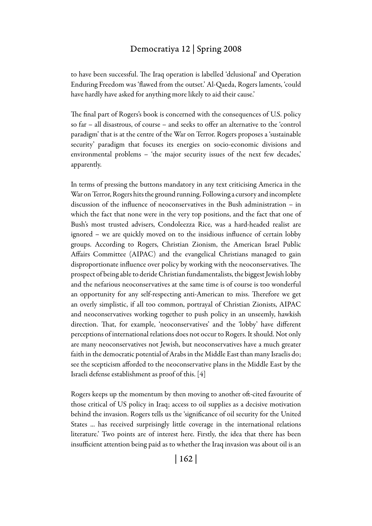### Democratiya 12 | Spring 2008

to have been successful. The Iraq operation is labelled 'delusional' and Operation Enduring Freedom was 'flawed from the outset.' Al-Qaeda, Rogers laments, 'could have hardly have asked for anything more likely to aid their cause.'

The final part of Rogers's book is concerned with the consequences of U.S. policy so far – all disastrous, of course – and seeks to offer an alternative to the 'control paradigm' that is at the centre of the War on Terror. Rogers proposes a 'sustainable security' paradigm that focuses its energies on socio-economic divisions and environmental problems – 'the major security issues of the next few decades,' apparently.

In terms of pressing the buttons mandatory in any text criticising America in the War on Terror, Rogers hits the ground running. Following a cursory and incomplete discussion of the influence of neoconservatives in the Bush administration – in which the fact that none were in the very top positions, and the fact that one of Bush's most trusted advisers, Condoleezza Rice, was a hard-headed realist are ignored – we are quickly moved on to the insidious influence of certain lobby groups. According to Rogers, Christian Zionism, the American Israel Public Affairs Committee (AIPAC) and the evangelical Christians managed to gain disproportionate influence over policy by working with the neoconservatives. The prospect of being able to deride Christian fundamentalists, the biggest Jewish lobby and the nefarious neoconservatives at the same time is of course is too wonderful an opportunity for any self-respecting anti-American to miss. Therefore we get an overly simplistic, if all too common, portrayal of Christian Zionists, AIPAC and neoconservatives working together to push policy in an unseemly, hawkish direction. That, for example, 'neoconservatives' and the 'lobby' have different perceptions of international relations does not occur to Rogers. It should. Not only are many neoconservatives not Jewish, but neoconservatives have a much greater faith in the democratic potential of Arabs in the Middle East than many Israelis do; see the scepticism afforded to the neoconservative plans in the Middle East by the Israeli defense establishment as proof of this. [4]

Rogers keeps up the momentum by then moving to another oft-cited favourite of those critical of US policy in Iraq; access to oil supplies as a decisive motivation behind the invasion. Rogers tells us the 'significance of oil security for the United States ... has received surprisingly little coverage in the international relations literature.' Two points are of interest here. Firstly, the idea that there has been insufficient attention being paid as to whether the Iraq invasion was about oil is an

| 162 |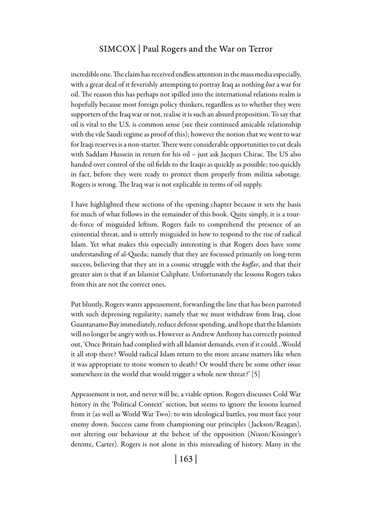#### Simcox | Paul Rogers and the War on Terror

incredible one. The claim has received endless attention in the mass media especially, with a great deal of it feverishly attempting to portray Iraq as nothing *but* a war for oil. The reason this has perhaps not spilled into the international relations realm is hopefully because most foreign policy thinkers, regardless as to whether they were supporters of the Iraq war or not, realise it is such an absurd proposition. To say that oil is vital to the U.S. is common sense (see their continued amicable relationship with the vile Saudi regime as proof of this); however the notion that we went to war for Iraqi reserves is a non-starter. There were considerable opportunities to cut deals with Saddam Hussein in return for his oil – just ask Jacques Chirac. The US also handed over control of the oil fields to the Iraqis as quickly as possible; too quickly in fact, before they were ready to protect them properly from militia sabotage. Rogers is wrong. The Iraq war is not explicable in terms of oil supply.

I have highlighted these sections of the opening chapter because it sets the basis for much of what follows in the remainder of this book. Quite simply, it is a tourde-force of misguided leftism. Rogers fails to comprehend the presence of an existential threat, and is utterly misguided in how to respond to the rise of radical Islam. Yet what makes this especially interesting is that Rogers does have some understanding of al-Qaeda; namely that they are focussed primarily on long-term success, believing that they are in a cosmic struggle with the *kuffar*, and that their greater aim is that if an Islamist Caliphate. Unfortunately the lessons Rogers takes from this are not the correct ones.

Put bluntly, Rogers wants appeasement, forwarding the line that has been parroted with such depressing regularity; namely that we must withdraw from Iraq, close Guantanamo Bay immediately, reduce defense spending, and hope that the Islamists will no longer be angry with us. However as Andrew Anthony has correctly pointed out, 'Once Britain had complied with all Islamist demands, even if it could…Would it all stop there? Would radical Islam return to the more arcane matters like when it was appropriate to stone women to death? Or would there be some other issue somewhere in the world that would trigger a whole new threat?' [5]

Appeasement is not, and never will be, a viable option. Rogers discusses Cold War history in the 'Political Context' section, but seems to ignore the lessons learned from it (as well as World War Two): to win ideological battles, you must face your enemy down. Success came from championing our principles ( Jackson/Reagan), not altering our behaviour at the behest of the opposition (Nixon/Kissinger's detente, Carter). Rogers is not alone in this misreading of history. Many in the

| 163 |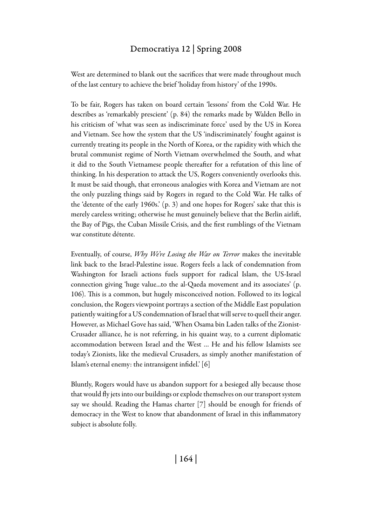## Democratiya 12 | Spring 2008

West are determined to blank out the sacrifices that were made throughout much of the last century to achieve the brief 'holiday from history' of the 1990s.

To be fair, Rogers has taken on board certain 'lessons' from the Cold War. He describes as 'remarkably prescient' (p. 84) the remarks made by Walden Bello in his criticism of 'what was seen as indiscriminate force' used by the US in Korea and Vietnam. See how the system that the US 'indiscriminately' fought against is currently treating its people in the North of Korea, or the rapidity with which the brutal communist regime of North Vietnam overwhelmed the South, and what it did to the South Vietnamese people thereafter for a refutation of this line of thinking. In his desperation to attack the US, Rogers conveniently overlooks this. It must be said though, that erroneous analogies with Korea and Vietnam are not the only puzzling things said by Rogers in regard to the Cold War. He talks of the 'detente of the early 1960s.' (p. 3) and one hopes for Rogers' sake that this is merely careless writing; otherwise he must genuinely believe that the Berlin airlift, the Bay of Pigs, the Cuban Missile Crisis, and the first rumblings of the Vietnam war constitute détente.

Eventually, of course, *Why We're Losing the War on Terror* makes the inevitable link back to the Israel-Palestine issue. Rogers feels a lack of condemnation from Washington for Israeli actions fuels support for radical Islam, the US-Israel connection giving 'huge value...to the al-Qaeda movement and its associates' (p. 106). This is a common, but hugely misconceived notion. Followed to its logical conclusion, the Rogers viewpoint portrays a section of the Middle East population patiently waiting for a US condemnation of Israel that will serve to quell their anger. However, as Michael Gove has said, 'When Osama bin Laden talks of the Zionist-Crusader alliance, he is not referring, in his quaint way, to a current diplomatic accommodation between Israel and the West … He and his fellow Islamists see today's Zionists, like the medieval Crusaders, as simply another manifestation of Islam's eternal enemy: the intransigent infidel.' [6]

Bluntly, Rogers would have us abandon support for a besieged ally because those that would fly jets into our buildings or explode themselves on our transport system say we should. Reading the Hamas charter [7] should be enough for friends of democracy in the West to know that abandonment of Israel in this inflammatory subject is absolute folly.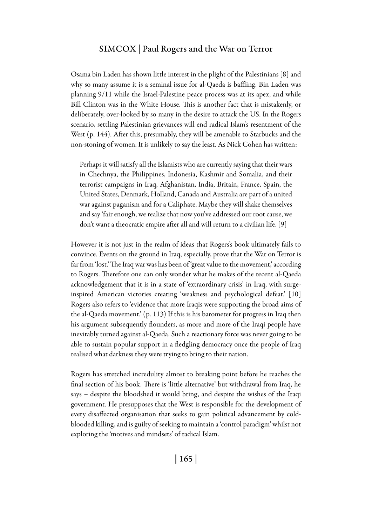#### Simcox | Paul Rogers and the War on Terror

Osama bin Laden has shown little interest in the plight of the Palestinians [8] and why so many assume it is a seminal issue for al-Qaeda is baffling. Bin Laden was planning 9/11 while the Israel-Palestine peace process was at its apex, and while Bill Clinton was in the White House. This is another fact that is mistakenly, or deliberately, over-looked by so many in the desire to attack the US. In the Rogers scenario, settling Palestinian grievances will end radical Islam's resentment of the West (p. 144). After this, presumably, they will be amenable to Starbucks and the non-stoning of women. It is unlikely to say the least. As Nick Cohen has written:

Perhaps it will satisfy all the Islamists who are currently saying that their wars in Chechnya, the Philippines, Indonesia, Kashmir and Somalia, and their terrorist campaigns in Iraq, Afghanistan, India, Britain, France, Spain, the United States, Denmark, Holland, Canada and Australia are part of a united war against paganism and for a Caliphate. Maybe they will shake themselves and say 'fair enough, we realize that now you've addressed our root cause, we don't want a theocratic empire after all and will return to a civilian life. [9]

However it is not just in the realm of ideas that Rogers's book ultimately fails to convince. Events on the ground in Iraq, especially, prove that the War on Terror is far from 'lost.' The Iraq war was has been of 'great value to the movement,' according to Rogers. Therefore one can only wonder what he makes of the recent al-Qaeda acknowledgement that it is in a state of 'extraordinary crisis' in Iraq, with surgeinspired American victories creating 'weakness and psychological defeat.' [10] Rogers also refers to 'evidence that more Iraqis were supporting the broad aims of the al-Qaeda movement.' (p. 113) If this is his barometer for progress in Iraq then his argument subsequently flounders, as more and more of the Iraqi people have inevitably turned against al-Qaeda. Such a reactionary force was never going to be able to sustain popular support in a fledgling democracy once the people of Iraq realised what darkness they were trying to bring to their nation.

Rogers has stretched incredulity almost to breaking point before he reaches the final section of his book. There is 'little alternative' but withdrawal from Iraq, he says – despite the bloodshed it would bring, and despite the wishes of the Iraqi government. He presupposes that the West is responsible for the development of every disaffected organisation that seeks to gain political advancement by coldblooded killing, and is guilty of seeking to maintain a 'control paradigm' whilst not exploring the 'motives and mindsets' of radical Islam.

| 165 |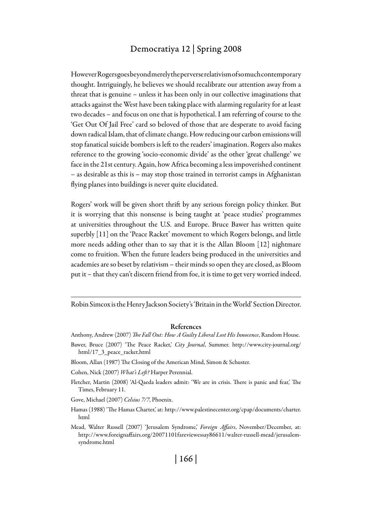### Democratiya 12 | Spring 2008

However Rogers goes beyond merely the perverse relativism of so much contemporary thought. Intriguingly, he believes we should recalibrate our attention away from a threat that is genuine – unless it has been only in our collective imaginations that attacks against the West have been taking place with alarming regularity for at least two decades – and focus on one that is hypothetical. I am referring of course to the 'Get Out Of Jail Free' card so beloved of those that are desperate to avoid facing down radical Islam, that of climate change. How reducing our carbon emissions will stop fanatical suicide bombers is left to the readers' imagination. Rogers also makes reference to the growing 'socio-economic divide' as the other 'great challenge' we face in the 21st century. Again, how Africa becoming a less impoverished continent – as desirable as this is – may stop those trained in terrorist camps in Afghanistan flying planes into buildings is never quite elucidated.

Rogers' work will be given short thrift by any serious foreign policy thinker. But it is worrying that this nonsense is being taught at 'peace studies' programmes at universities throughout the U.S. and Europe. Bruce Bawer has written quite superbly [11] on the 'Peace Racket' movement to which Rogers belongs, and little more needs adding other than to say that it is the Allan Bloom [12] nightmare come to fruition. When the future leaders being produced in the universities and academies are so beset by relativism – their minds so open they are closed, as Bloom put it – that they can't discern friend from foe, it is time to get very worried indeed.

Robin Simcox is the Henry Jackson Society's 'Britain in the World' Section Director.

#### References

- Anthony, Andrew (2007) *The Fall Out: How A Guilty Liberal Lost His Innocence*, Random House.
- Bawer, Bruce (2007) 'The Peace Racket,' *City Journal*, Summer. http://www.city-journal.org/ html/17\_3\_peace\_racket.html
- Bloom, Allan (1987) The Closing of the American Mind, Simon & Schuster.

Cohen, Nick (2007) *What's Left?* Harper Perennial.

Fletcher, Martin (2008) 'Al-Qaeda leaders admit: 'We are in crisis. There is panic and fear,' The Times, February 11.

Gove, Michael (2007) *Celsius 7/7*, Phoenix.

- Hamas (1988) 'The Hamas Charter,' at: http://www.palestinecenter.org/cpap/documents/charter. html
- Mead, Walter Russell (2007) 'Jerusalem Syndrome,' *Foreign Affairs*, November/December, at: http://www.foreignaffairs.org/20071101fareviewessay86611/walter-russell-mead/jerusalemsyndrome.html